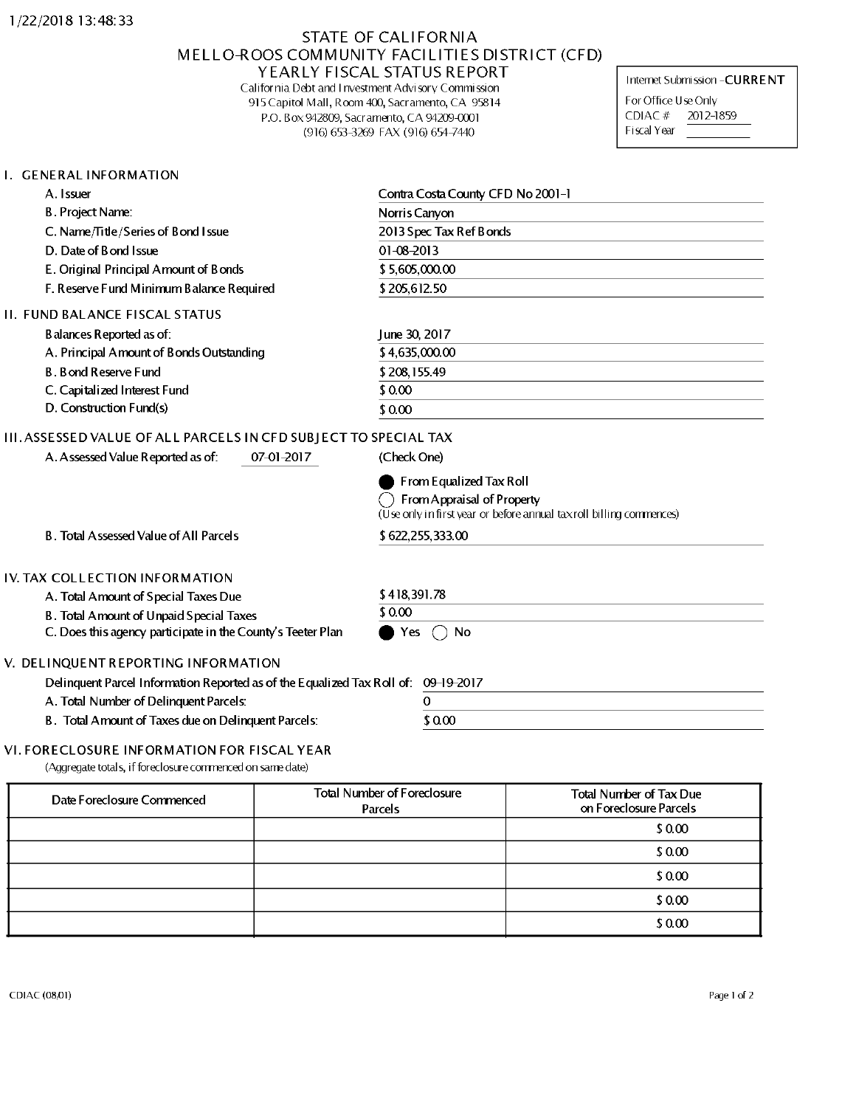## STATE OF CALIFORNIA MELLO-ROOS COMMUNITY FACILITIES DISTRICT (CFD) YEARLY FISCAL STATUS REPORT

California Debt and <sup>I</sup> investment Advisory Commission 915Capitol Mall, Room 400, Sacramento, CA 95814 P.O. Box942809, Sacramento, CA 94209-0001 (916) 653-3269 FAX (916) 654-7440

Internet Submission-CURRENT

For Office Use Only CDIAC # 2012-1859 Fiscal Year

### I. GENERAL INFORMATION

| A. Issuer                                | Contra Costa County CFD No 2001-1 |  |
|------------------------------------------|-----------------------------------|--|
| B. Project Name:                         | Norris Canyon                     |  |
| C. Name/Title/Series of Bond I ssue      | 2013 Spec Tax Ref Bonds           |  |
| D. Date of B ond I ssue                  | $01 - 08 - 2013$                  |  |
| E. Original Principal Amount of Bonds    | \$5,605,000.00                    |  |
| F. Reserve Fund Minimum Balance Required | \$205,612.50                      |  |
| II. FUND BALANCE FISCAL STATUS           |                                   |  |
| B alances Reported as of:                | June 30, 2017                     |  |
| A. Principal Amount of Bonds Outstanding | \$4,635,000.00                    |  |
| <b>B. Bond Reserve Fund</b>              | \$208,155.49                      |  |
| C. Capitalized Interest Fund             | \$0.00                            |  |
| D. Construction Fund(s)                  | \$0.00                            |  |
|                                          |                                   |  |

## III.ASSESSED VALUE OF ALL PARCELS IN CFD SUBJ ECT TO SPECIAL TAX

| A. Assessed Value Reported as of: | $07 - 01 - 2017$ |
|-----------------------------------|------------------|
|-----------------------------------|------------------|

| From Equalized Tax Roll |
|-------------------------|

(Check One)

Q FromAppraisal of Property

(Use only in first year or before annual taxroll billing commences)

B. Total Assessed Value of All Parcels

# IV. TAX COLLECTION INFORMATION

A. Total Amount of Special Taxes Due

B. Total Amount of Unpaid Special Taxes

C. Does this agency participate in the County's Teeter Plan

# V. DELINQUENTREPORTING INFORMATION

Delinquent Parcel Information Reported as of the Equalized Tax Roll of: 09-19-2017

A. Total Number of Delinquent Parcels: 0

B. Total Amount of Taxes due on Delinquent Parcels:  $$0.00$ 

### VI. FORECLOSURE INFORMATION FOR FISCAL YEAR

(Aggregate totals, ifforeclosure commenced on same date)

| Date Foreclosure Commenced | <b>Total Number of Foreclosure</b><br>Parcels | <b>Total Number of Tax Due</b><br>on Foreclosure Parcels |
|----------------------------|-----------------------------------------------|----------------------------------------------------------|
|                            |                                               | \$0.00                                                   |
|                            |                                               | \$0.00                                                   |
|                            |                                               | \$0.00                                                   |
|                            |                                               | \$0.00                                                   |
|                            |                                               | \$0.00                                                   |

| \$418,391.78 |  |  |
|--------------|--|--|

 $\bullet$  Yes  $\bigcirc$  No

\$0.00\_\_\_\_\_\_\_\_\_\_\_

\$622,255,333.00